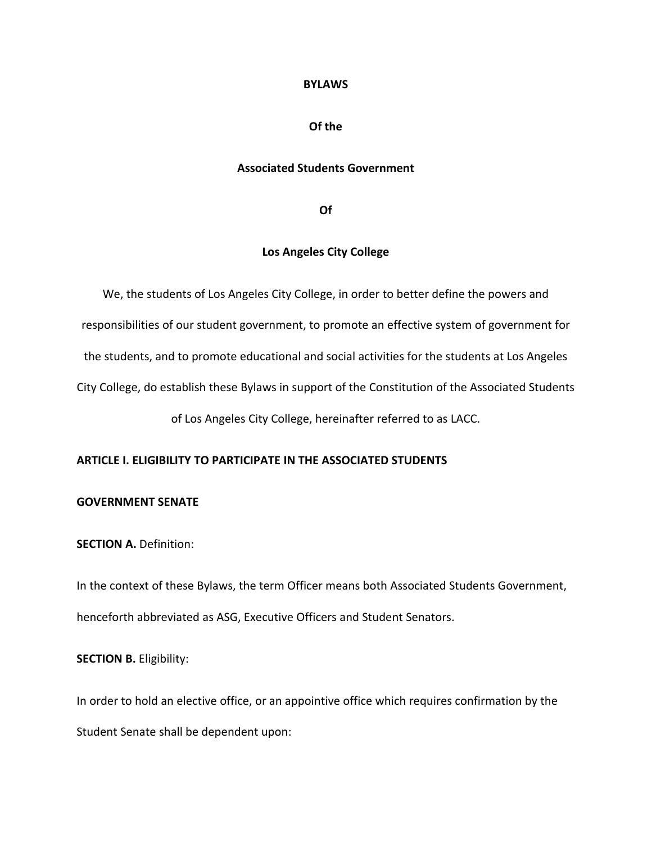#### **BYLAWS**

### **Of the**

### **Associated Students Government**

**Of**

## **Los Angeles City College**

We, the students of Los Angeles City College, in order to better define the powers and responsibilities of our student government, to promote an effective system of government for the students, and to promote educational and social activities for the students at Los Angeles City College, do establish these Bylaws in support of the Constitution of the Associated Students of Los Angeles City College, hereinafter referred to as LACC.

#### **ARTICLE I. ELIGIBILITY TO PARTICIPATE IN THE ASSOCIATED STUDENTS**

### **GOVERNMENT SENATE**

**SECTION A. Definition:** 

In the context of these Bylaws, the term Officer means both Associated Students Government, henceforth abbreviated as ASG, Executive Officers and Student Senators.

**SECTION B. Eligibility:** 

In order to hold an elective office, or an appointive office which requires confirmation by the Student Senate shall be dependent upon: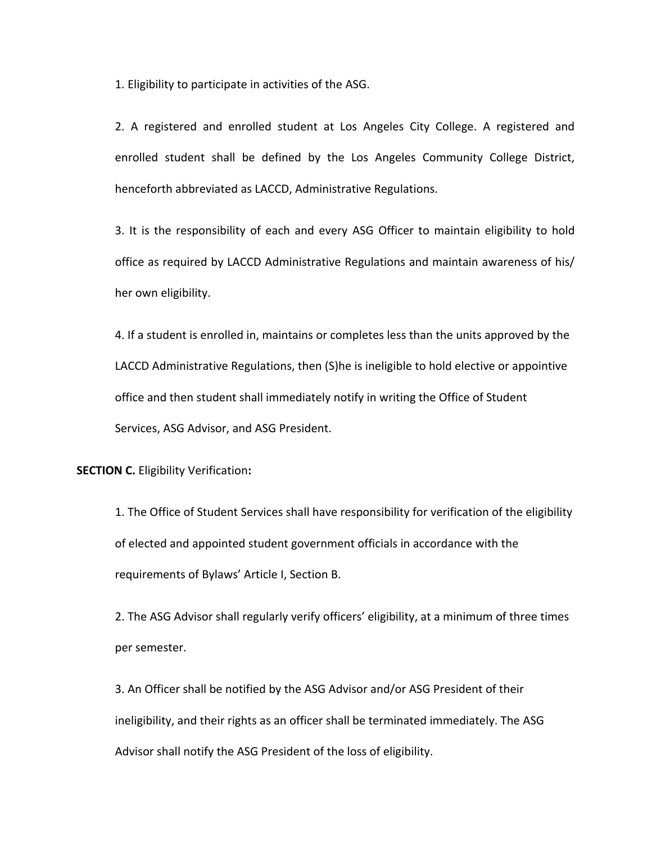1. Eligibility to participate in activities of the ASG.

2. A registered and enrolled student at Los Angeles City College. A registered and enrolled student shall be defined by the Los Angeles Community College District, henceforth abbreviated as LACCD, Administrative Regulations.

3. It is the responsibility of each and every ASG Officer to maintain eligibility to hold office as required by LACCD Administrative Regulations and maintain awareness of his/ her own eligibility.

4. If a student is enrolled in, maintains or completes less than the units approved by the LACCD Administrative Regulations, then (S)he is ineligible to hold elective or appointive office and then student shall immediately notify in writing the Office of Student Services, ASG Advisor, and ASG President.

**SECTION C.** Eligibility Verification**:**

1. The Office of Student Services shall have responsibility for verification of the eligibility of elected and appointed student government officials in accordance with the requirements of Bylaws' Article I, Section B.

2. The ASG Advisor shall regularly verify officers' eligibility, at a minimum of three times per semester.

3. An Officer shall be notified by the ASG Advisor and/or ASG President of their ineligibility, and their rights as an officer shall be terminated immediately. The ASG Advisor shall notify the ASG President of the loss of eligibility.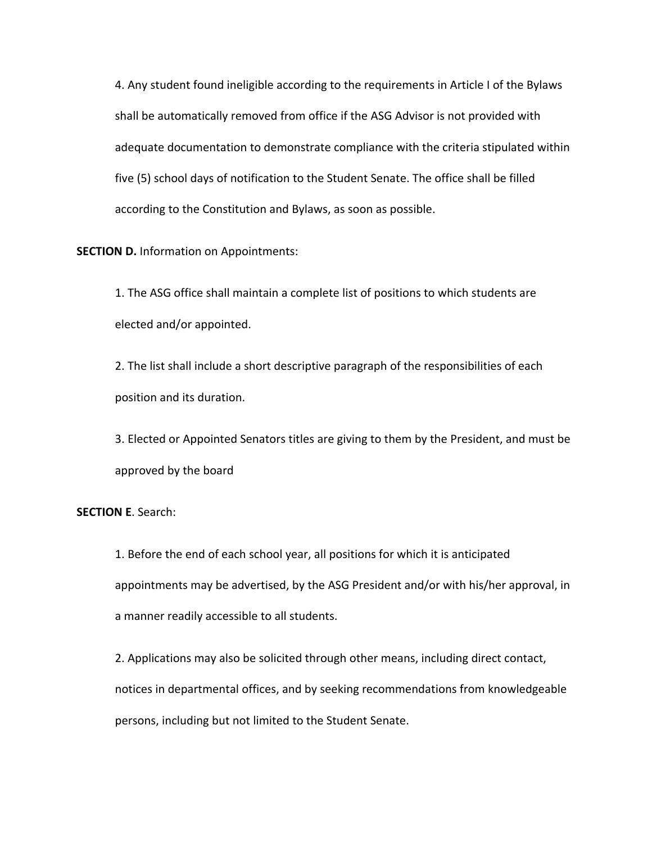4. Any student found ineligible according to the requirements in Article I of the Bylaws shall be automatically removed from office if the ASG Advisor is not provided with adequate documentation to demonstrate compliance with the criteria stipulated within five (5) school days of notification to the Student Senate. The office shall be filled according to the Constitution and Bylaws, as soon as possible.

**SECTION D.** Information on Appointments:

1. The ASG office shall maintain a complete list of positions to which students are elected and/or appointed.

2. The list shall include a short descriptive paragraph of the responsibilities of each position and its duration.

3. Elected or Appointed Senators titles are giving to them by the President, and must be approved by the board

## **SECTION E**. Search:

1. Before the end of each school year, all positions for which it is anticipated appointments may be advertised, by the ASG President and/or with his/her approval, in a manner readily accessible to all students.

2. Applications may also be solicited through other means, including direct contact, notices in departmental offices, and by seeking recommendations from knowledgeable persons, including but not limited to the Student Senate.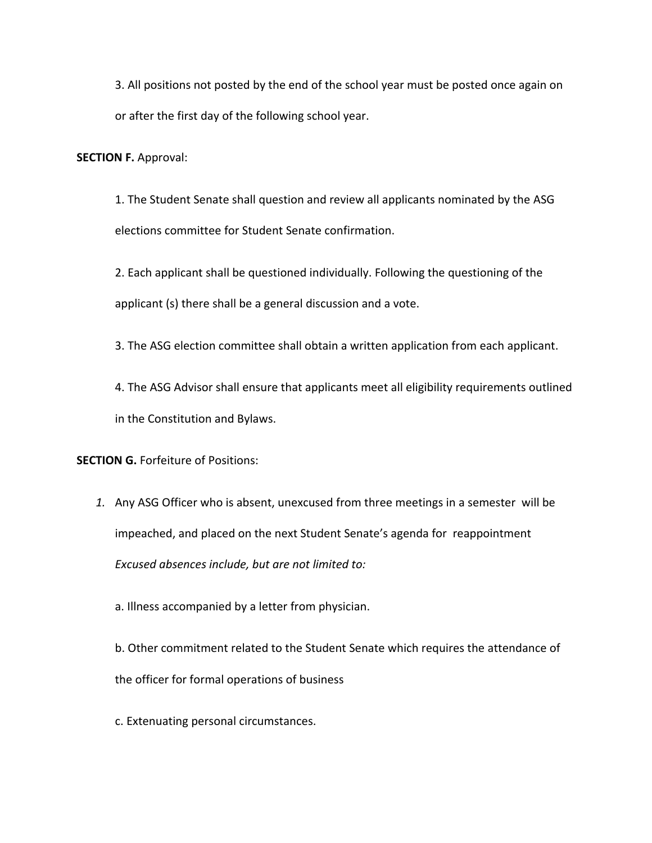3. All positions not posted by the end of the school year must be posted once again on or after the first day of the following school year.

**SECTION F.** Approval:

1. The Student Senate shall question and review all applicants nominated by the ASG elections committee for Student Senate confirmation.

2. Each applicant shall be questioned individually. Following the questioning of the applicant (s) there shall be a general discussion and a vote.

3. The ASG election committee shall obtain a written application from each applicant.

4. The ASG Advisor shall ensure that applicants meet all eligibility requirements outlined in the Constitution and Bylaws.

**SECTION G. Forfeiture of Positions:** 

- *1.* Any ASG Officer who is absent, unexcused from three meetings in a semester will be impeached, and placed on the next Student Senate's agenda for reappointment *Excused absences include, but are not limited to:*
	- a. Illness accompanied by a letter from physician.

b. Other commitment related to the Student Senate which requires the attendance of the officer for formal operations of business

c. Extenuating personal circumstances.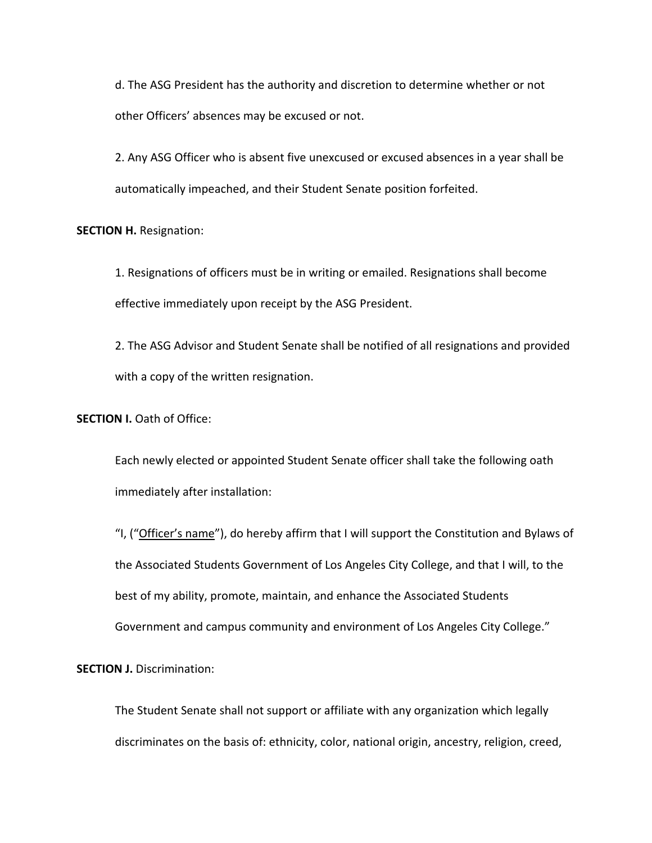d. The ASG President has the authority and discretion to determine whether or not other Officers' absences may be excused or not.

2. Any ASG Officer who is absent five unexcused or excused absences in a year shall be automatically impeached, and their Student Senate position forfeited.

### **SECTION H. Resignation:**

1. Resignations of officers must be in writing or emailed. Resignations shall become effective immediately upon receipt by the ASG President.

2. The ASG Advisor and Student Senate shall be notified of all resignations and provided with a copy of the written resignation.

**SECTION I.** Oath of Office:

Each newly elected or appointed Student Senate officer shall take the following oath immediately after installation:

"I, ("Officer's name"), do hereby affirm that I will support the Constitution and Bylaws of the Associated Students Government of Los Angeles City College, and that I will, to the best of my ability, promote, maintain, and enhance the Associated Students Government and campus community and environment of Los Angeles City College."

**SECTION J. Discrimination:** 

The Student Senate shall not support or affiliate with any organization which legally discriminates on the basis of: ethnicity, color, national origin, ancestry, religion, creed,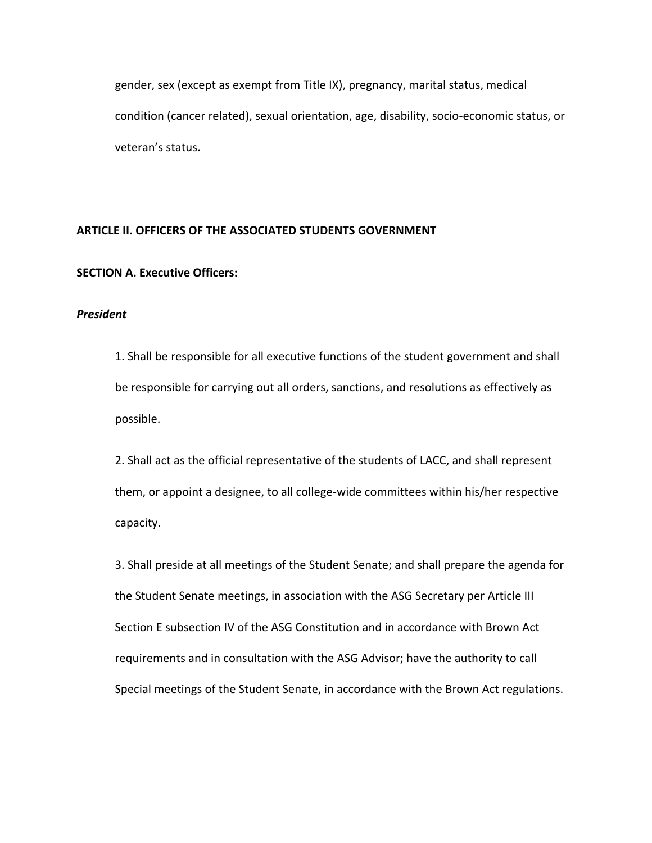gender, sex (except as exempt from Title IX), pregnancy, marital status, medical condition (cancer related), sexual orientation, age, disability, socio-economic status, or veteran's status.

### **ARTICLE II. OFFICERS OF THE ASSOCIATED STUDENTS GOVERNMENT**

### **SECTION A. Executive Officers:**

#### *President*

1. Shall be responsible for all executive functions of the student government and shall be responsible for carrying out all orders, sanctions, and resolutions as effectively as possible.

2. Shall act as the official representative of the students of LACC, and shall represent them, or appoint a designee, to all college-wide committees within his/her respective capacity.

3. Shall preside at all meetings of the Student Senate; and shall prepare the agenda for the Student Senate meetings, in association with the ASG Secretary per Article III Section E subsection IV of the ASG Constitution and in accordance with Brown Act requirements and in consultation with the ASG Advisor; have the authority to call Special meetings of the Student Senate, in accordance with the Brown Act regulations.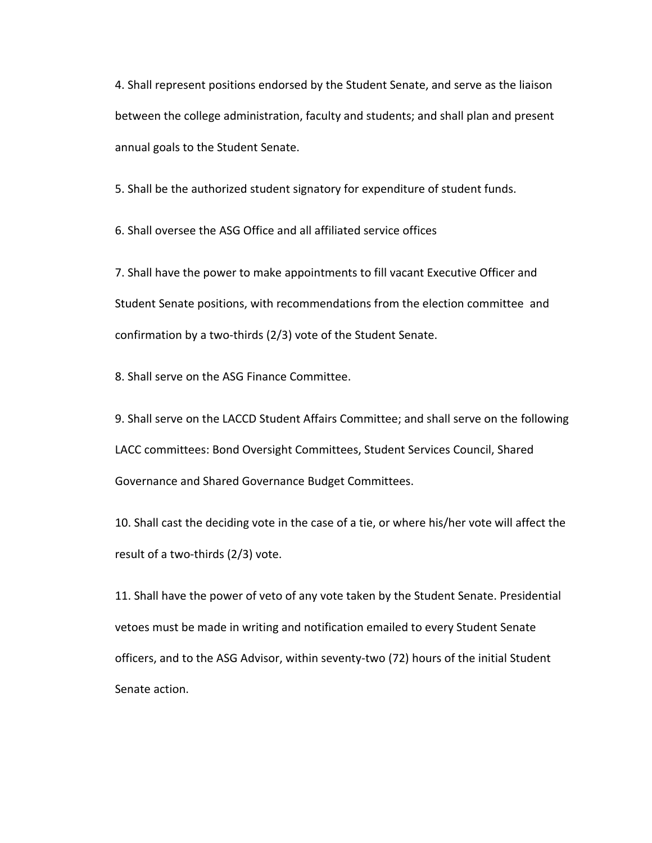4. Shall represent positions endorsed by the Student Senate, and serve as the liaison between the college administration, faculty and students; and shall plan and present annual goals to the Student Senate.

5. Shall be the authorized student signatory for expenditure of student funds.

6. Shall oversee the ASG Office and all affiliated service offices

7. Shall have the power to make appointments to fill vacant Executive Officer and Student Senate positions, with recommendations from the election committee and confirmation by a two-thirds (2/3) vote of the Student Senate.

8. Shall serve on the ASG Finance Committee.

9. Shall serve on the LACCD Student Affairs Committee; and shall serve on the following LACC committees: Bond Oversight Committees, Student Services Council, Shared Governance and Shared Governance Budget Committees.

10. Shall cast the deciding vote in the case of a tie, or where his/her vote will affect the result of a two-thirds (2/3) vote.

11. Shall have the power of veto of any vote taken by the Student Senate. Presidential vetoes must be made in writing and notification emailed to every Student Senate officers, and to the ASG Advisor, within seventy-two (72) hours of the initial Student Senate action.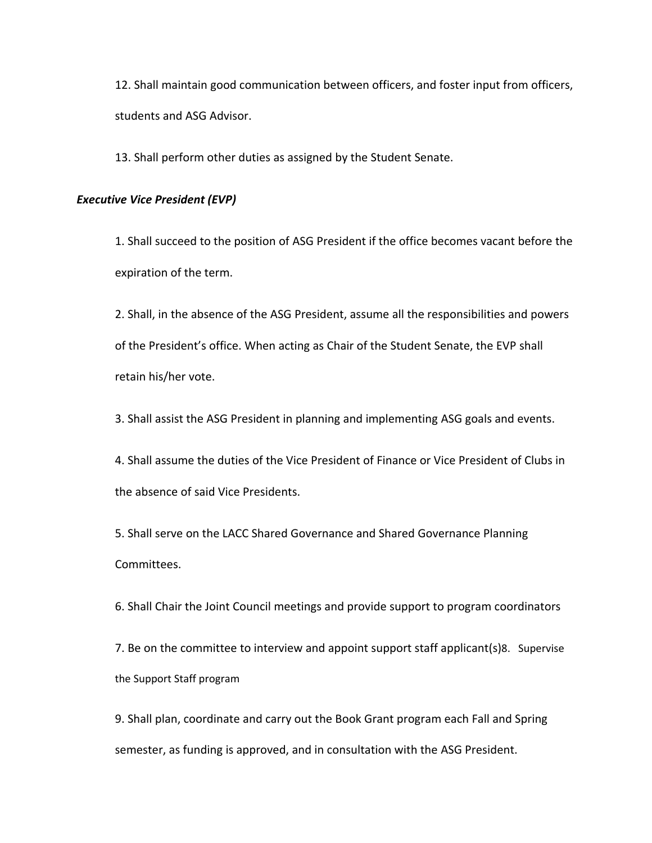12. Shall maintain good communication between officers, and foster input from officers, students and ASG Advisor.

13. Shall perform other duties as assigned by the Student Senate.

### *Executive Vice President (EVP)*

1. Shall succeed to the position of ASG President if the office becomes vacant before the expiration of the term.

2. Shall, in the absence of the ASG President, assume all the responsibilities and powers of the President's office. When acting as Chair of the Student Senate, the EVP shall retain his/her vote.

3. Shall assist the ASG President in planning and implementing ASG goals and events.

4. Shall assume the duties of the Vice President of Finance or Vice President of Clubs in the absence of said Vice Presidents.

5. Shall serve on the LACC Shared Governance and Shared Governance Planning Committees.

6. Shall Chair the Joint Council meetings and provide support to program coordinators

7. Be on the committee to interview and appoint support staff applicant(s)8. Supervise the Support Staff program

9. Shall plan, coordinate and carry out the Book Grant program each Fall and Spring semester, as funding is approved, and in consultation with the ASG President.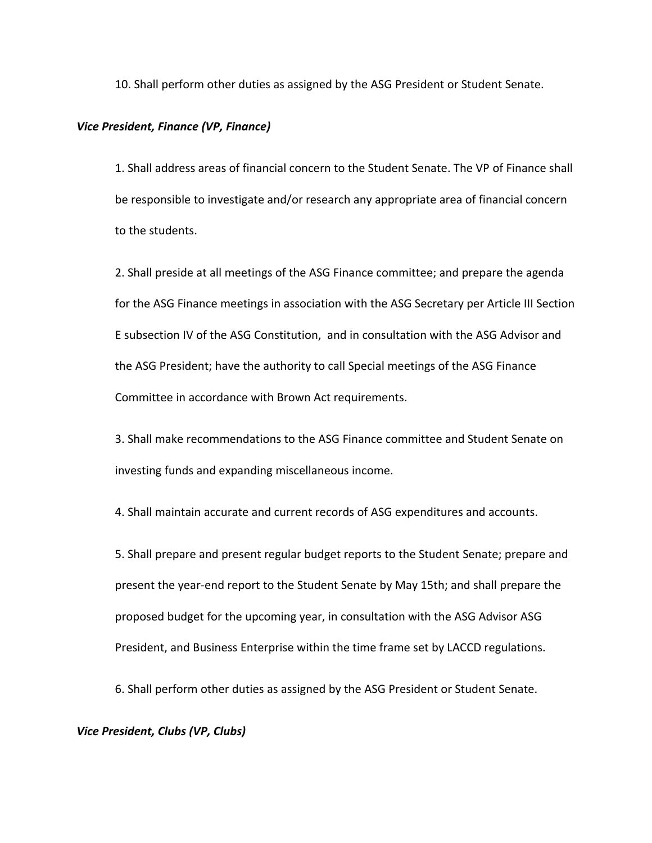10. Shall perform other duties as assigned by the ASG President or Student Senate.

#### *Vice President, Finance (VP, Finance)*

1. Shall address areas of financial concern to the Student Senate. The VP of Finance shall be responsible to investigate and/or research any appropriate area of financial concern to the students.

2. Shall preside at all meetings of the ASG Finance committee; and prepare the agenda for the ASG Finance meetings in association with the ASG Secretary per Article III Section E subsection IV of the ASG Constitution, and in consultation with the ASG Advisor and the ASG President; have the authority to call Special meetings of the ASG Finance Committee in accordance with Brown Act requirements.

3. Shall make recommendations to the ASG Finance committee and Student Senate on investing funds and expanding miscellaneous income.

4. Shall maintain accurate and current records of ASG expenditures and accounts.

5. Shall prepare and present regular budget reports to the Student Senate; prepare and present the year-end report to the Student Senate by May 15th; and shall prepare the proposed budget for the upcoming year, in consultation with the ASG Advisor ASG President, and Business Enterprise within the time frame set by LACCD regulations.

6. Shall perform other duties as assigned by the ASG President or Student Senate.

## *Vice President, Clubs (VP, Clubs)*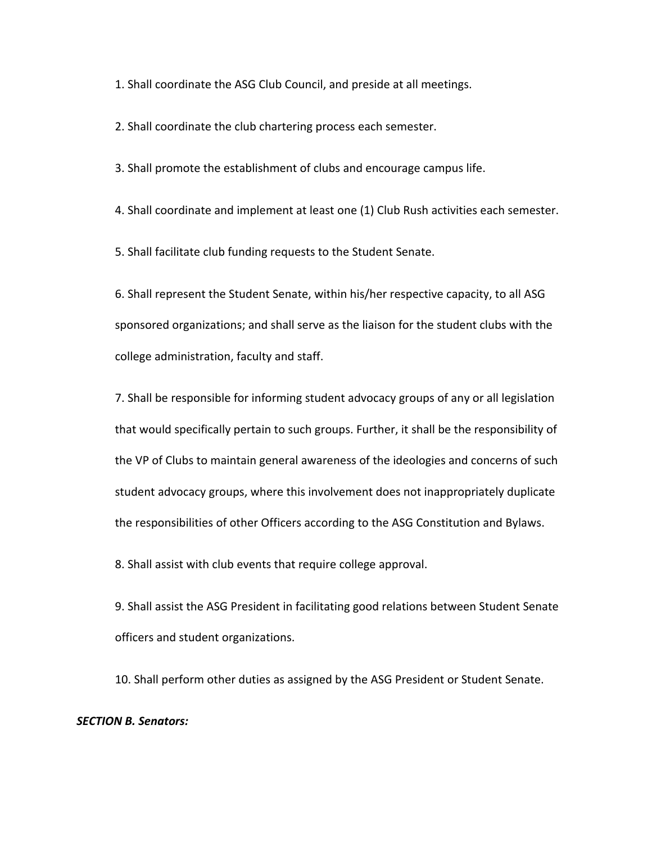1. Shall coordinate the ASG Club Council, and preside at all meetings.

2. Shall coordinate the club chartering process each semester.

3. Shall promote the establishment of clubs and encourage campus life.

4. Shall coordinate and implement at least one (1) Club Rush activities each semester.

5. Shall facilitate club funding requests to the Student Senate.

6. Shall represent the Student Senate, within his/her respective capacity, to all ASG sponsored organizations; and shall serve as the liaison for the student clubs with the college administration, faculty and staff.

7. Shall be responsible for informing student advocacy groups of any or all legislation that would specifically pertain to such groups. Further, it shall be the responsibility of the VP of Clubs to maintain general awareness of the ideologies and concerns of such student advocacy groups, where this involvement does not inappropriately duplicate the responsibilities of other Officers according to the ASG Constitution and Bylaws.

8. Shall assist with club events that require college approval.

9. Shall assist the ASG President in facilitating good relations between Student Senate officers and student organizations.

10. Shall perform other duties as assigned by the ASG President or Student Senate.

### *SECTION B. Senators:*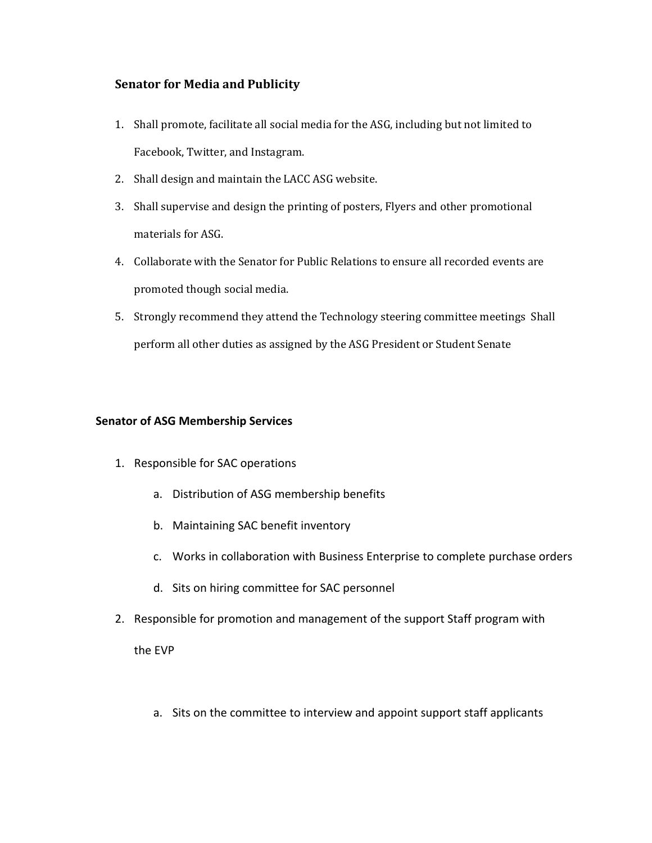# **Senator for Media and Publicity**

- 1. Shall promote, facilitate all social media for the ASG, including but not limited to Facebook, Twitter, and Instagram.
- 2. Shall design and maintain the LACC ASG website.
- 3. Shall supervise and design the printing of posters, Flyers and other promotional materials for ASG.
- 4. Collaborate with the Senator for Public Relations to ensure all recorded events are promoted though social media.
- 5. Strongly recommend they attend the Technology steering committee meetings Shall perform all other duties as assigned by the ASG President or Student Senate

## **Senator of ASG Membership Services**

- 1. Responsible for SAC operations
	- a. Distribution of ASG membership benefits
	- b. Maintaining SAC benefit inventory
	- c. Works in collaboration with Business Enterprise to complete purchase orders
	- d. Sits on hiring committee for SAC personnel
- 2. Responsible for promotion and management of the support Staff program with

the EVP

a. Sits on the committee to interview and appoint support staff applicants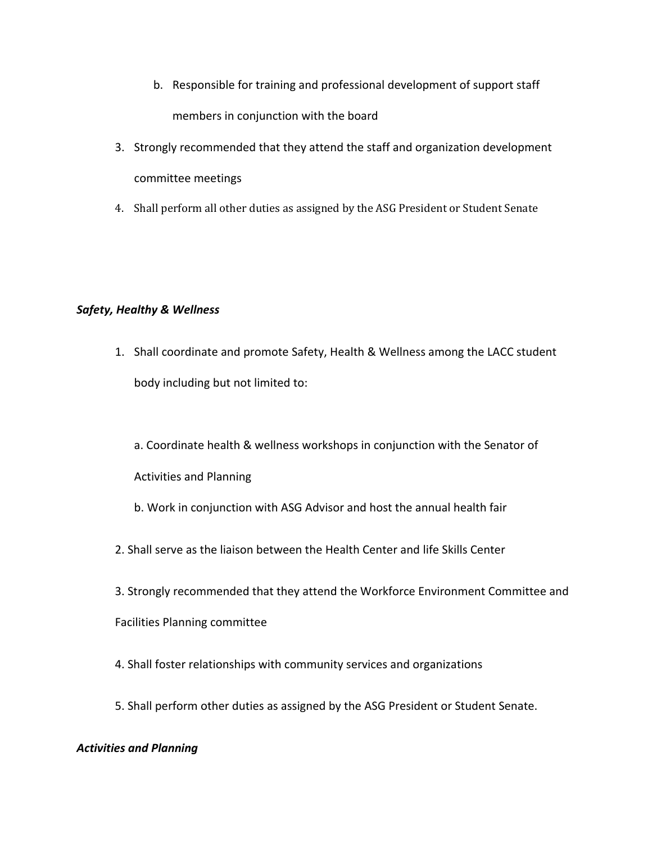- b. Responsible for training and professional development of support staff members in conjunction with the board
- 3. Strongly recommended that they attend the staff and organization development committee meetings
- 4. Shall perform all other duties as assigned by the ASG President or Student Senate

# *Safety, Healthy & Wellness*

- 1. Shall coordinate and promote Safety, Health & Wellness among the LACC student body including but not limited to:
	- a. Coordinate health & wellness workshops in conjunction with the Senator of Activities and Planning
	- b. Work in conjunction with ASG Advisor and host the annual health fair
- 2. Shall serve as the liaison between the Health Center and life Skills Center
- 3. Strongly recommended that they attend the Workforce Environment Committee and

Facilities Planning committee

- 4. Shall foster relationships with community services and organizations
- 5. Shall perform other duties as assigned by the ASG President or Student Senate.

# *Activities and Planning*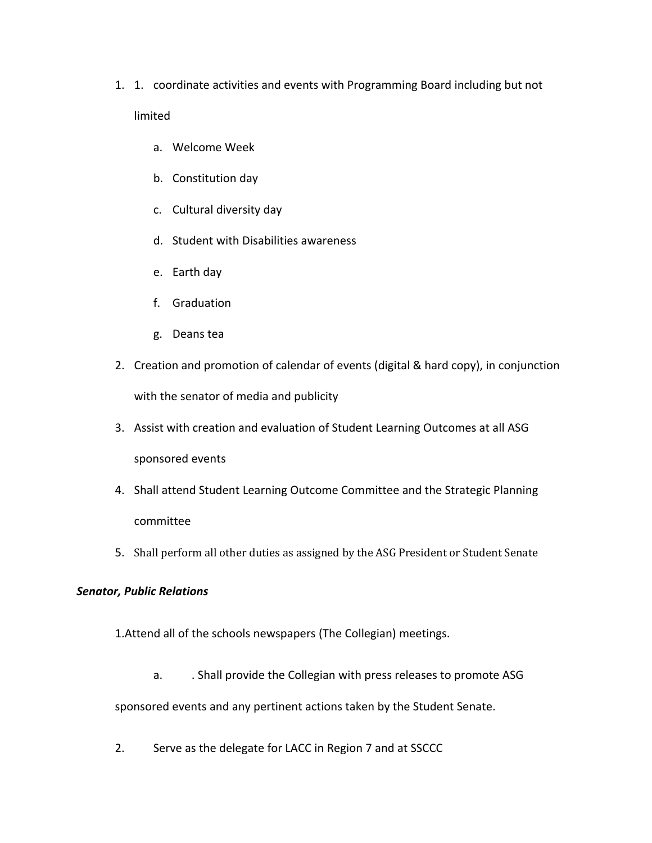- 1. 1. coordinate activities and events with Programming Board including but not limited
	- a. Welcome Week
	- b. Constitution day
	- c. Cultural diversity day
	- d. Student with Disabilities awareness
	- e. Earth day
	- f. Graduation
	- g. Deans tea
- 2. Creation and promotion of calendar of events (digital & hard copy), in conjunction with the senator of media and publicity
- 3. Assist with creation and evaluation of Student Learning Outcomes at all ASG sponsored events
- 4. Shall attend Student Learning Outcome Committee and the Strategic Planning committee
- 5. Shall perform all other duties as assigned by the ASG President or Student Senate

# *Senator, Public Relations*

1.Attend all of the schools newspapers (The Collegian) meetings.

a. . . Shall provide the Collegian with press releases to promote ASG

sponsored events and any pertinent actions taken by the Student Senate.

2. Serve as the delegate for LACC in Region 7 and at SSCCC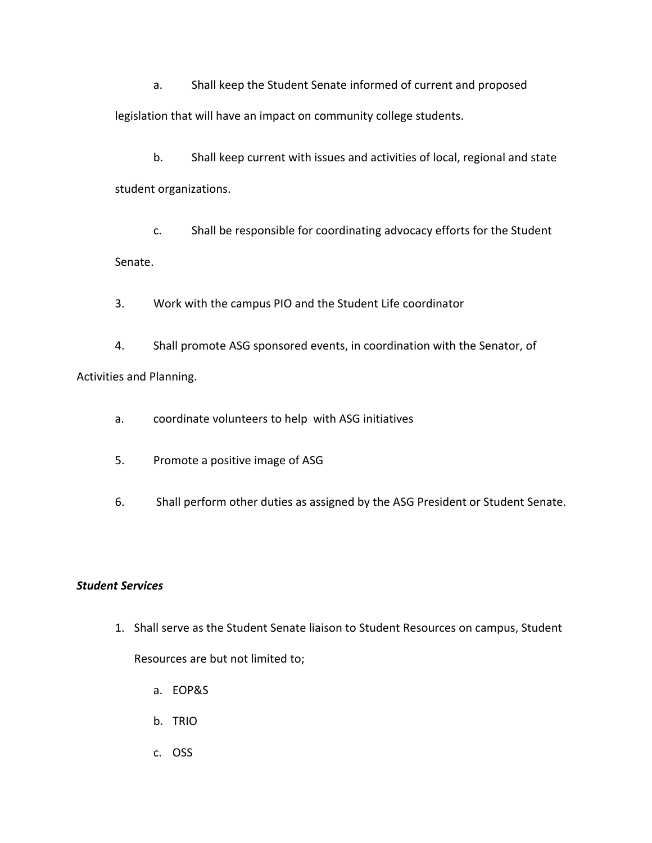a. Shall keep the Student Senate informed of current and proposed

legislation that will have an impact on community college students.

b. Shall keep current with issues and activities of local, regional and state student organizations.

c. Shall be responsible for coordinating advocacy efforts for the Student Senate.

3. Work with the campus PIO and the Student Life coordinator

4. Shall promote ASG sponsored events, in coordination with the Senator, of Activities and Planning.

a. coordinate volunteers to help with ASG initiatives

5. Promote a positive image of ASG

6. Shall perform other duties as assigned by the ASG President or Student Senate.

# *Student Services*

- 1. Shall serve as the Student Senate liaison to Student Resources on campus, Student Resources are but not limited to;
	- a. EOP&S
	- b. TRIO
	- c. OSS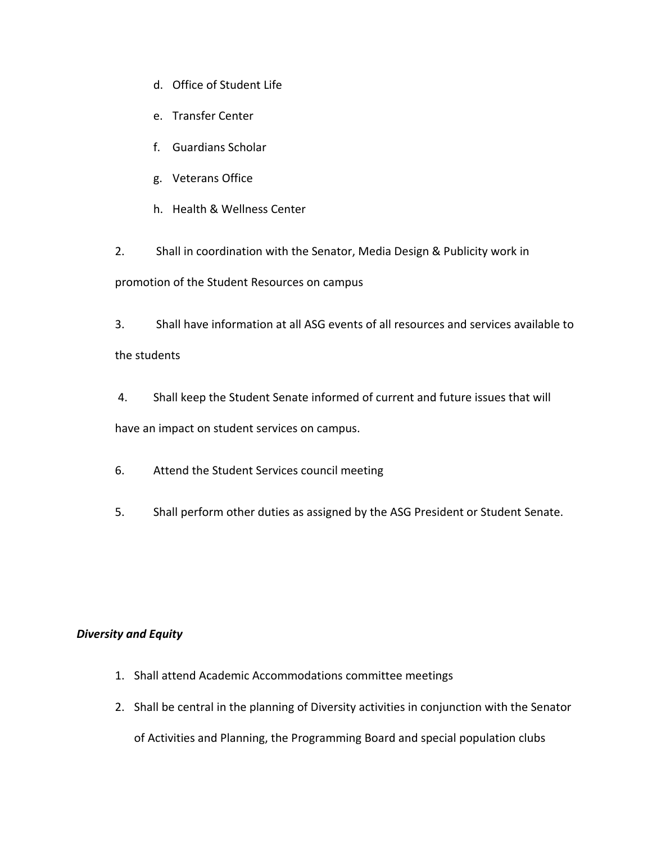- d. Office of Student Life
- e. Transfer Center
- f. Guardians Scholar
- g. Veterans Office
- h. Health & Wellness Center

2. Shall in coordination with the Senator, Media Design & Publicity work in promotion of the Student Resources on campus

3. Shall have information at all ASG events of all resources and services available to

the students

4. Shall keep the Student Senate informed of current and future issues that will

have an impact on student services on campus.

- 6. Attend the Student Services council meeting
- 5. Shall perform other duties as assigned by the ASG President or Student Senate.

## *Diversity and Equity*

- 1. Shall attend Academic Accommodations committee meetings
- 2. Shall be central in the planning of Diversity activities in conjunction with the Senator

of Activities and Planning, the Programming Board and special population clubs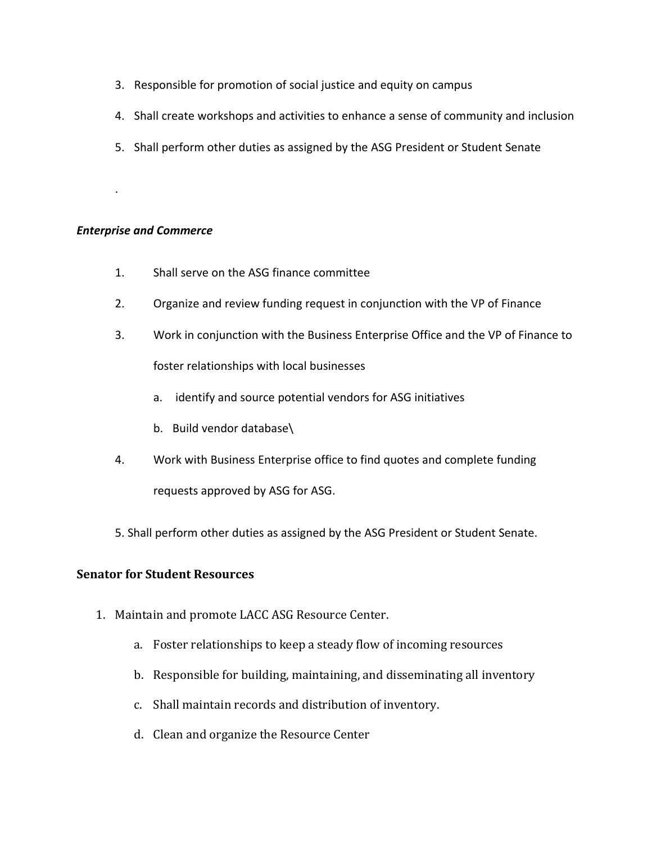- 3. Responsible for promotion of social justice and equity on campus
- 4. Shall create workshops and activities to enhance a sense of community and inclusion
- 5. Shall perform other duties as assigned by the ASG President or Student Senate

## *Enterprise and Commerce*

.

- 1. Shall serve on the ASG finance committee
- 2. Organize and review funding request in conjunction with the VP of Finance
- 3. Work in conjunction with the Business Enterprise Office and the VP of Finance to foster relationships with local businesses
	- a. identify and source potential vendors for ASG initiatives
	- b. Build vendor database\
- 4. Work with Business Enterprise office to find quotes and complete funding requests approved by ASG for ASG.
- 5. Shall perform other duties as assigned by the ASG President or Student Senate.

## **Senator for Student Resources**

- 1. Maintain and promote LACC ASG Resource Center.
	- a. Foster relationships to keep a steady flow of incoming resources
	- b. Responsible for building, maintaining, and disseminating all inventory
	- c. Shall maintain records and distribution of inventory.
	- d. Clean and organize the Resource Center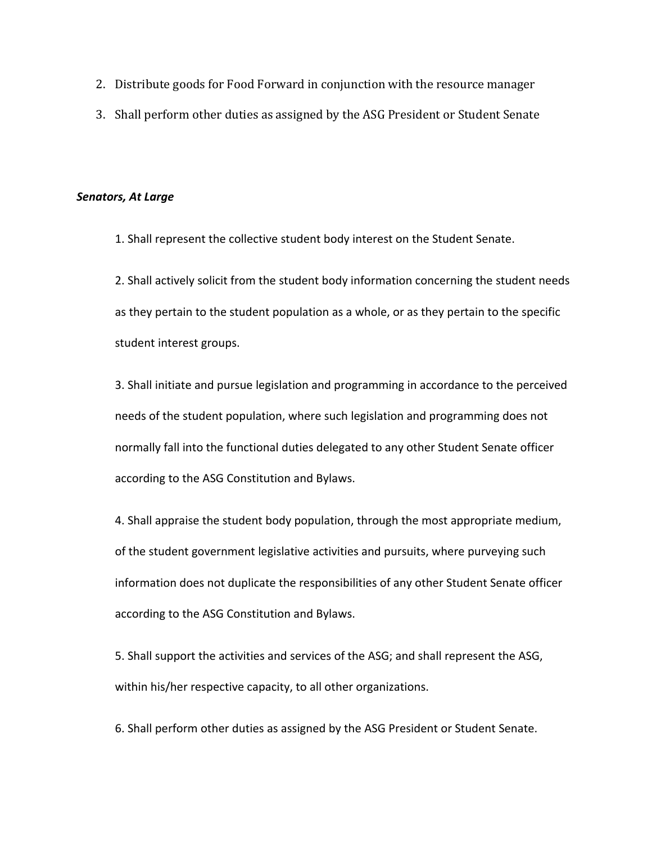- 2. Distribute goods for Food Forward in conjunction with the resource manager
- 3. Shall perform other duties as assigned by the ASG President or Student Senate

#### *Senators, At Large*

1. Shall represent the collective student body interest on the Student Senate.

2. Shall actively solicit from the student body information concerning the student needs as they pertain to the student population as a whole, or as they pertain to the specific student interest groups.

3. Shall initiate and pursue legislation and programming in accordance to the perceived needs of the student population, where such legislation and programming does not normally fall into the functional duties delegated to any other Student Senate officer according to the ASG Constitution and Bylaws.

4. Shall appraise the student body population, through the most appropriate medium, of the student government legislative activities and pursuits, where purveying such information does not duplicate the responsibilities of any other Student Senate officer according to the ASG Constitution and Bylaws.

5. Shall support the activities and services of the ASG; and shall represent the ASG, within his/her respective capacity, to all other organizations.

6. Shall perform other duties as assigned by the ASG President or Student Senate.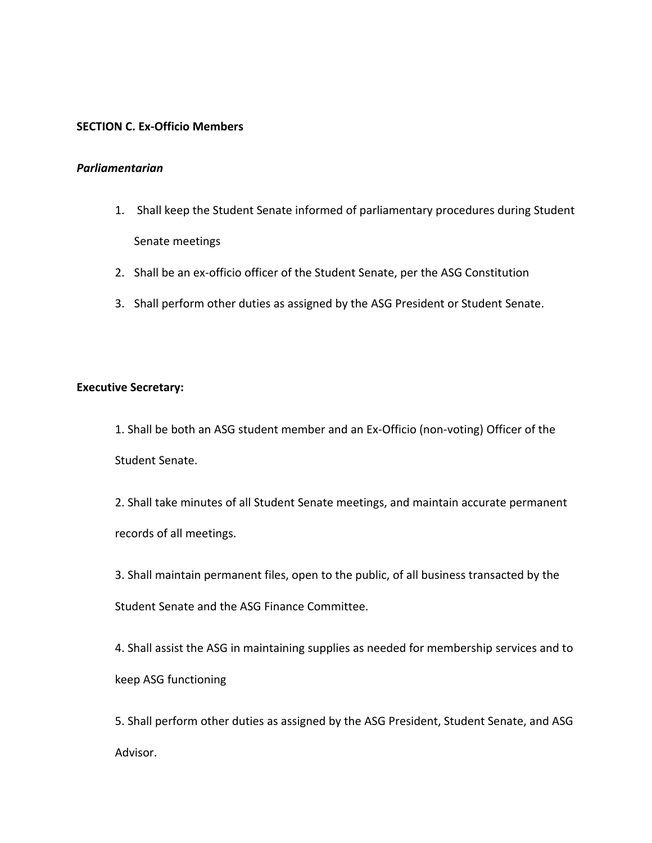## **SECTION C. Ex-Officio Members**

### *Parliamentarian*

- 1. Shall keep the Student Senate informed of parliamentary procedures during Student Senate meetings
- 2. Shall be an ex-officio officer of the Student Senate, per the ASG Constitution
- 3. Shall perform other duties as assigned by the ASG President or Student Senate.

## **Executive Secretary:**

1. Shall be both an ASG student member and an Ex-Officio (non-voting) Officer of the Student Senate.

2. Shall take minutes of all Student Senate meetings, and maintain accurate permanent records of all meetings.

3. Shall maintain permanent files, open to the public, of all business transacted by the Student Senate and the ASG Finance Committee.

4. Shall assist the ASG in maintaining supplies as needed for membership services and to keep ASG functioning

5. Shall perform other duties as assigned by the ASG President, Student Senate, and ASG Advisor.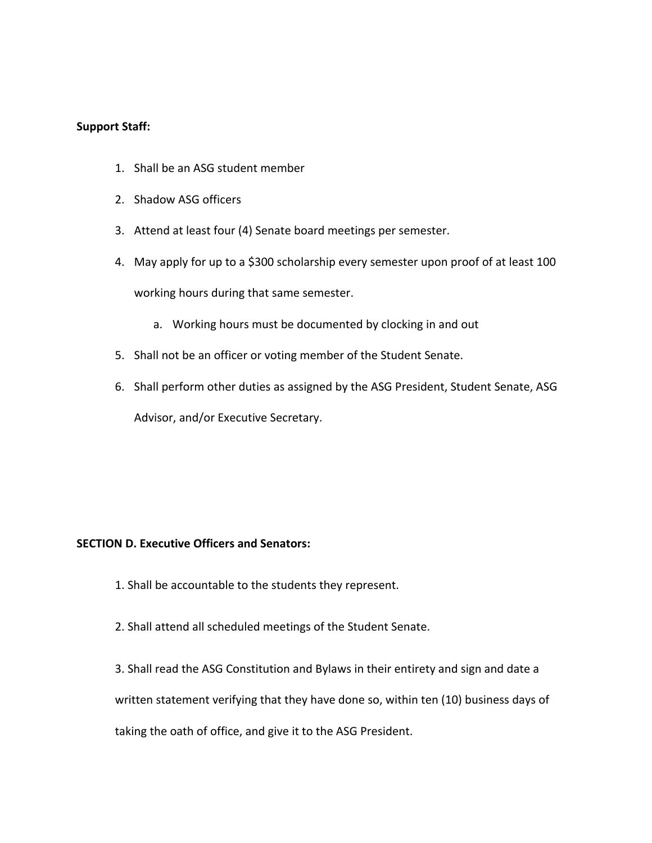## **Support Staff:**

- 1. Shall be an ASG student member
- 2. Shadow ASG officers
- 3. Attend at least four (4) Senate board meetings per semester.
- 4. May apply for up to a \$300 scholarship every semester upon proof of at least 100 working hours during that same semester.
	- a. Working hours must be documented by clocking in and out
- 5. Shall not be an officer or voting member of the Student Senate.
- 6. Shall perform other duties as assigned by the ASG President, Student Senate, ASG Advisor, and/or Executive Secretary.

## **SECTION D. Executive Officers and Senators:**

- 1. Shall be accountable to the students they represent.
- 2. Shall attend all scheduled meetings of the Student Senate.

3. Shall read the ASG Constitution and Bylaws in their entirety and sign and date a written statement verifying that they have done so, within ten (10) business days of taking the oath of office, and give it to the ASG President.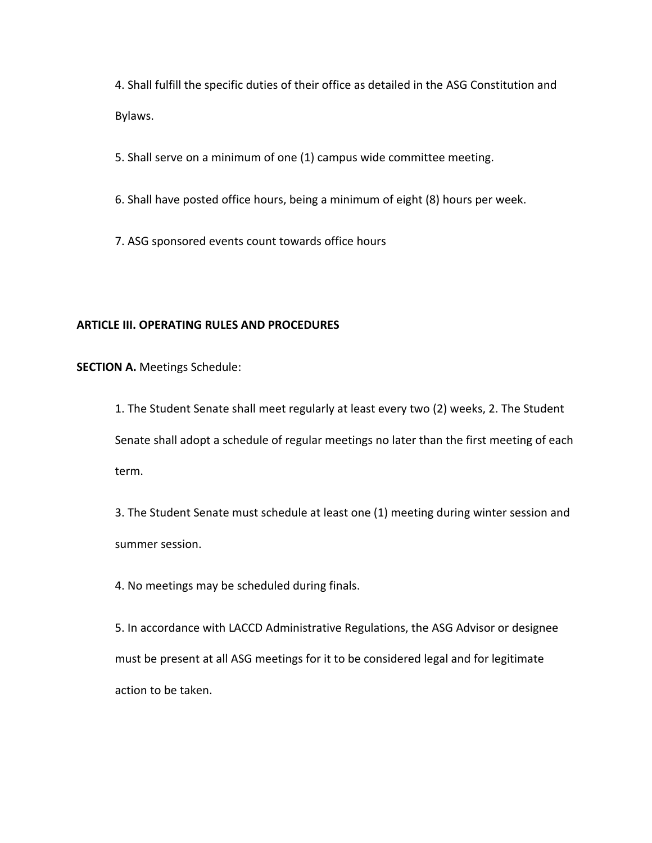4. Shall fulfill the specific duties of their office as detailed in the ASG Constitution and Bylaws.

5. Shall serve on a minimum of one (1) campus wide committee meeting.

6. Shall have posted office hours, being a minimum of eight (8) hours per week.

7. ASG sponsored events count towards office hours

## **ARTICLE III. OPERATING RULES AND PROCEDURES**

**SECTION A.** Meetings Schedule:

1. The Student Senate shall meet regularly at least every two (2) weeks, 2. The Student Senate shall adopt a schedule of regular meetings no later than the first meeting of each term.

3. The Student Senate must schedule at least one (1) meeting during winter session and summer session.

4. No meetings may be scheduled during finals.

5. In accordance with LACCD Administrative Regulations, the ASG Advisor or designee must be present at all ASG meetings for it to be considered legal and for legitimate action to be taken.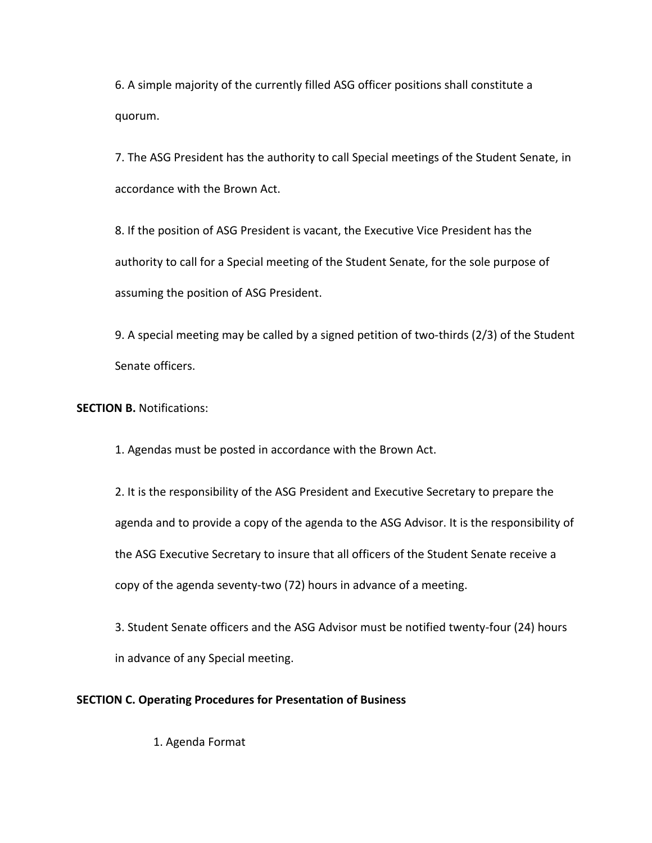6. A simple majority of the currently filled ASG officer positions shall constitute a quorum.

7. The ASG President has the authority to call Special meetings of the Student Senate, in accordance with the Brown Act.

8. If the position of ASG President is vacant, the Executive Vice President has the authority to call for a Special meeting of the Student Senate, for the sole purpose of assuming the position of ASG President.

9. A special meeting may be called by a signed petition of two-thirds (2/3) of the Student Senate officers.

**SECTION B. Notifications:** 

1. Agendas must be posted in accordance with the Brown Act.

2. It is the responsibility of the ASG President and Executive Secretary to prepare the agenda and to provide a copy of the agenda to the ASG Advisor. It is the responsibility of the ASG Executive Secretary to insure that all officers of the Student Senate receive a copy of the agenda seventy-two (72) hours in advance of a meeting.

3. Student Senate officers and the ASG Advisor must be notified twenty-four (24) hours in advance of any Special meeting.

## **SECTION C. Operating Procedures for Presentation of Business**

1. Agenda Format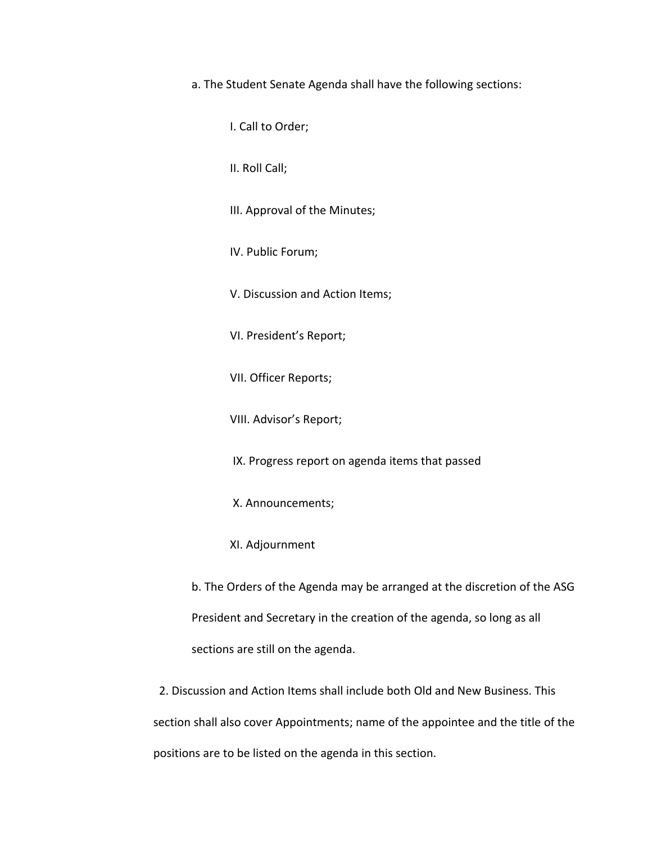a. The Student Senate Agenda shall have the following sections:

I. Call to Order;

II. Roll Call;

III. Approval of the Minutes;

IV. Public Forum;

V. Discussion and Action Items;

VI. President's Report;

VII. Officer Reports;

VIII. Advisor's Report;

IX. Progress report on agenda items that passed

X. Announcements;

XI. Adjournment

b. The Orders of the Agenda may be arranged at the discretion of the ASG President and Secretary in the creation of the agenda, so long as all sections are still on the agenda.

 2. Discussion and Action Items shall include both Old and New Business. This section shall also cover Appointments; name of the appointee and the title of the positions are to be listed on the agenda in this section.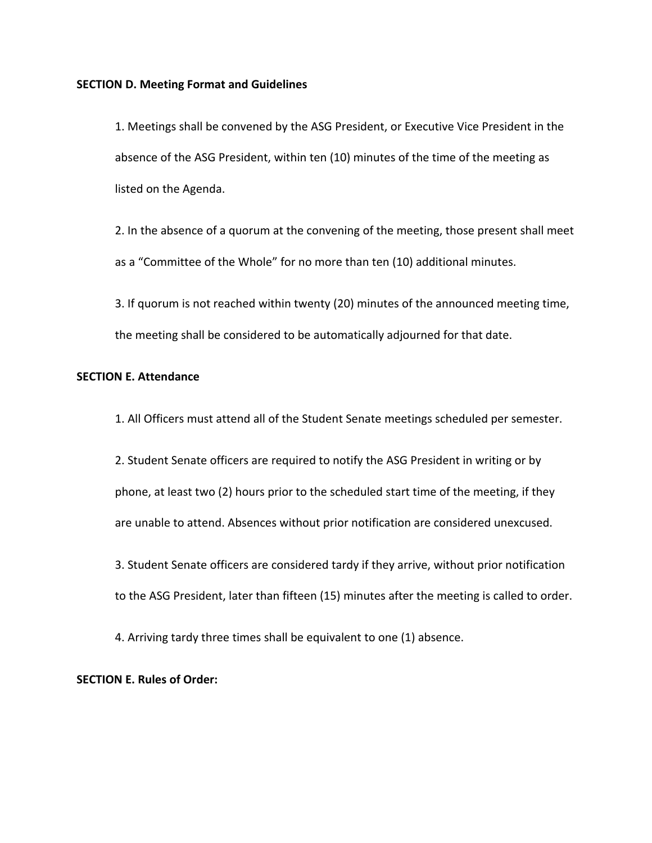#### **SECTION D. Meeting Format and Guidelines**

1. Meetings shall be convened by the ASG President, or Executive Vice President in the absence of the ASG President, within ten (10) minutes of the time of the meeting as listed on the Agenda.

2. In the absence of a quorum at the convening of the meeting, those present shall meet as a "Committee of the Whole" for no more than ten (10) additional minutes.

3. If quorum is not reached within twenty (20) minutes of the announced meeting time, the meeting shall be considered to be automatically adjourned for that date.

# **SECTION E. Attendance**

1. All Officers must attend all of the Student Senate meetings scheduled per semester.

2. Student Senate officers are required to notify the ASG President in writing or by phone, at least two (2) hours prior to the scheduled start time of the meeting, if they are unable to attend. Absences without prior notification are considered unexcused.

3. Student Senate officers are considered tardy if they arrive, without prior notification to the ASG President, later than fifteen (15) minutes after the meeting is called to order.

4. Arriving tardy three times shall be equivalent to one (1) absence.

## **SECTION E. Rules of Order:**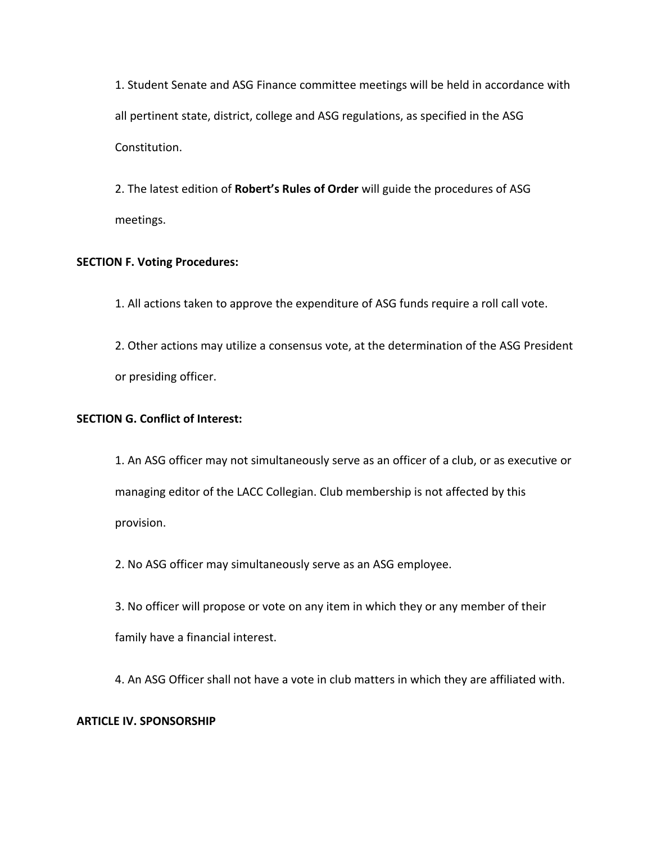1. Student Senate and ASG Finance committee meetings will be held in accordance with all pertinent state, district, college and ASG regulations, as specified in the ASG Constitution.

2. The latest edition of **Robert's Rules of Order** will guide the procedures of ASG meetings.

## **SECTION F. Voting Procedures:**

1. All actions taken to approve the expenditure of ASG funds require a roll call vote. 2. Other actions may utilize a consensus vote, at the determination of the ASG President

or presiding officer.

## **SECTION G. Conflict of Interest:**

1. An ASG officer may not simultaneously serve as an officer of a club, or as executive or managing editor of the LACC Collegian. Club membership is not affected by this provision.

2. No ASG officer may simultaneously serve as an ASG employee.

3. No officer will propose or vote on any item in which they or any member of their family have a financial interest.

4. An ASG Officer shall not have a vote in club matters in which they are affiliated with.

## **ARTICLE IV. SPONSORSHIP**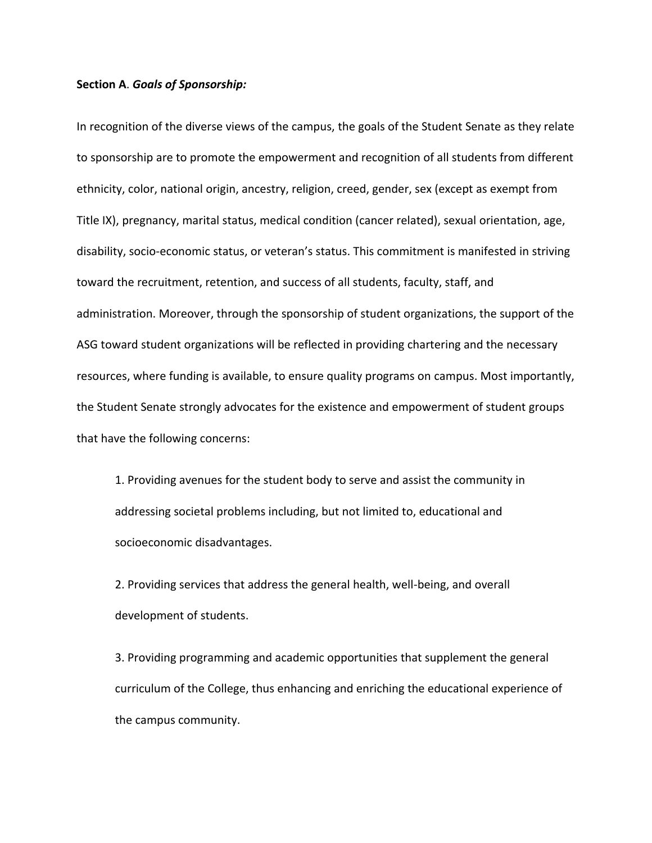#### **Section A**. *Goals of Sponsorship:*

In recognition of the diverse views of the campus, the goals of the Student Senate as they relate to sponsorship are to promote the empowerment and recognition of all students from different ethnicity, color, national origin, ancestry, religion, creed, gender, sex (except as exempt from Title IX), pregnancy, marital status, medical condition (cancer related), sexual orientation, age, disability, socio-economic status, or veteran's status. This commitment is manifested in striving toward the recruitment, retention, and success of all students, faculty, staff, and administration. Moreover, through the sponsorship of student organizations, the support of the ASG toward student organizations will be reflected in providing chartering and the necessary resources, where funding is available, to ensure quality programs on campus. Most importantly, the Student Senate strongly advocates for the existence and empowerment of student groups that have the following concerns:

1. Providing avenues for the student body to serve and assist the community in addressing societal problems including, but not limited to, educational and socioeconomic disadvantages.

2. Providing services that address the general health, well-being, and overall development of students.

3. Providing programming and academic opportunities that supplement the general curriculum of the College, thus enhancing and enriching the educational experience of the campus community.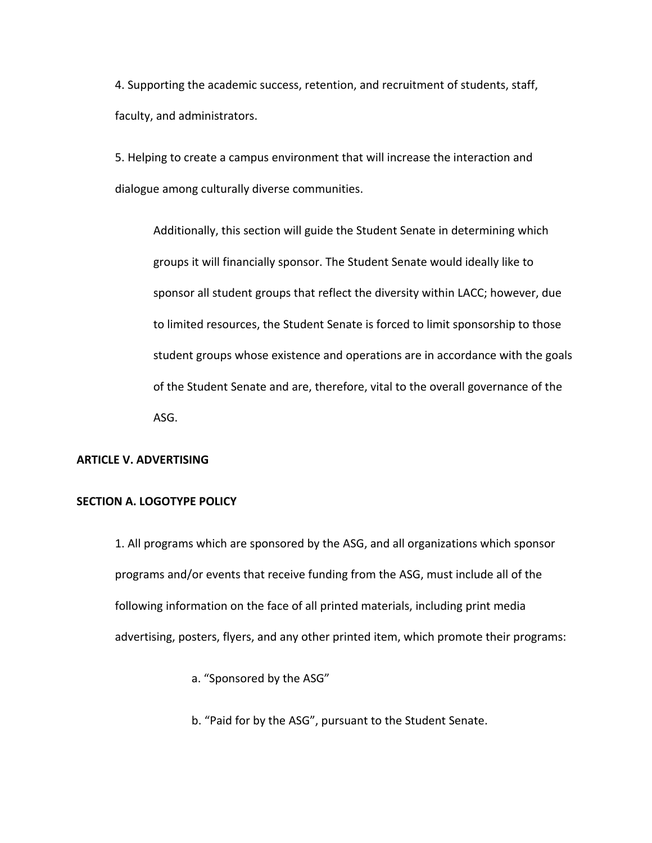4. Supporting the academic success, retention, and recruitment of students, staff, faculty, and administrators.

5. Helping to create a campus environment that will increase the interaction and dialogue among culturally diverse communities.

Additionally, this section will guide the Student Senate in determining which groups it will financially sponsor. The Student Senate would ideally like to sponsor all student groups that reflect the diversity within LACC; however, due to limited resources, the Student Senate is forced to limit sponsorship to those student groups whose existence and operations are in accordance with the goals of the Student Senate and are, therefore, vital to the overall governance of the ASG.

# **ARTICLE V. ADVERTISING**

### **SECTION A. LOGOTYPE POLICY**

1. All programs which are sponsored by the ASG, and all organizations which sponsor programs and/or events that receive funding from the ASG, must include all of the following information on the face of all printed materials, including print media advertising, posters, flyers, and any other printed item, which promote their programs:

- a. "Sponsored by the ASG"
- b. "Paid for by the ASG", pursuant to the Student Senate.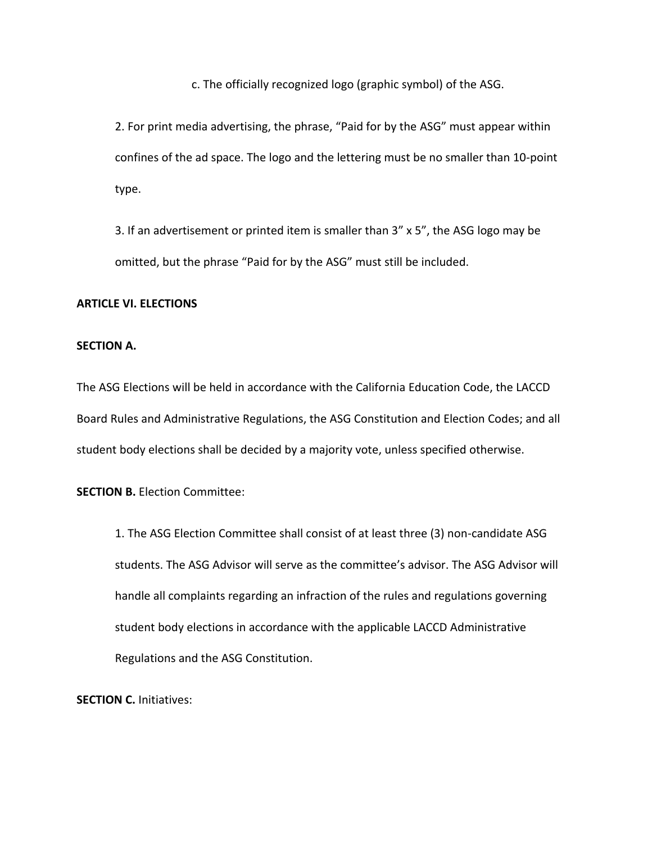c. The officially recognized logo (graphic symbol) of the ASG.

2. For print media advertising, the phrase, "Paid for by the ASG" must appear within confines of the ad space. The logo and the lettering must be no smaller than 10-point type.

3. If an advertisement or printed item is smaller than 3" x 5", the ASG logo may be omitted, but the phrase "Paid for by the ASG" must still be included.

## **ARTICLE VI. ELECTIONS**

### **SECTION A.**

The ASG Elections will be held in accordance with the California Education Code, the LACCD Board Rules and Administrative Regulations, the ASG Constitution and Election Codes; and all student body elections shall be decided by a majority vote, unless specified otherwise.

**SECTION B. Election Committee:** 

1. The ASG Election Committee shall consist of at least three (3) non-candidate ASG students. The ASG Advisor will serve as the committee's advisor. The ASG Advisor will handle all complaints regarding an infraction of the rules and regulations governing student body elections in accordance with the applicable LACCD Administrative Regulations and the ASG Constitution.

**SECTION C. Initiatives:**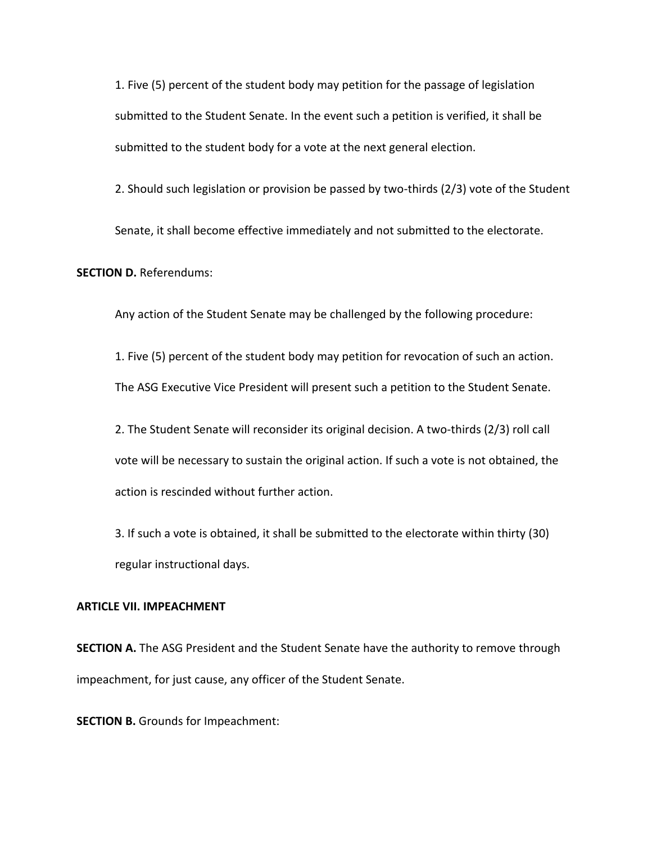1. Five (5) percent of the student body may petition for the passage of legislation submitted to the Student Senate. In the event such a petition is verified, it shall be submitted to the student body for a vote at the next general election.

2. Should such legislation or provision be passed by two-thirds (2/3) vote of the Student

Senate, it shall become effective immediately and not submitted to the electorate.

**SECTION D. Referendums:** 

Any action of the Student Senate may be challenged by the following procedure:

1. Five (5) percent of the student body may petition for revocation of such an action. The ASG Executive Vice President will present such a petition to the Student Senate.

2. The Student Senate will reconsider its original decision. A two-thirds (2/3) roll call vote will be necessary to sustain the original action. If such a vote is not obtained, the action is rescinded without further action.

3. If such a vote is obtained, it shall be submitted to the electorate within thirty (30) regular instructional days.

#### **ARTICLE VII. IMPEACHMENT**

**SECTION A.** The ASG President and the Student Senate have the authority to remove through impeachment, for just cause, any officer of the Student Senate.

**SECTION B.** Grounds for Impeachment: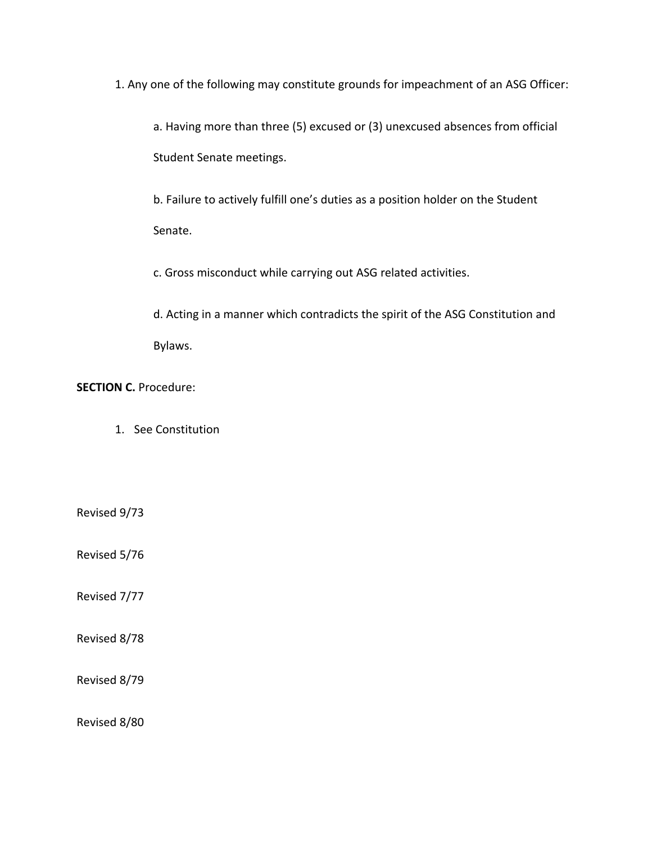1. Any one of the following may constitute grounds for impeachment of an ASG Officer:

a. Having more than three (5) excused or (3) unexcused absences from official Student Senate meetings.

b. Failure to actively fulfill one's duties as a position holder on the Student Senate.

c. Gross misconduct while carrying out ASG related activities.

d. Acting in a manner which contradicts the spirit of the ASG Constitution and Bylaws.

**SECTION C. Procedure:** 

1. See Constitution

Revised 9/73

Revised 5/76

Revised 7/77

Revised 8/78

Revised 8/79

Revised 8/80